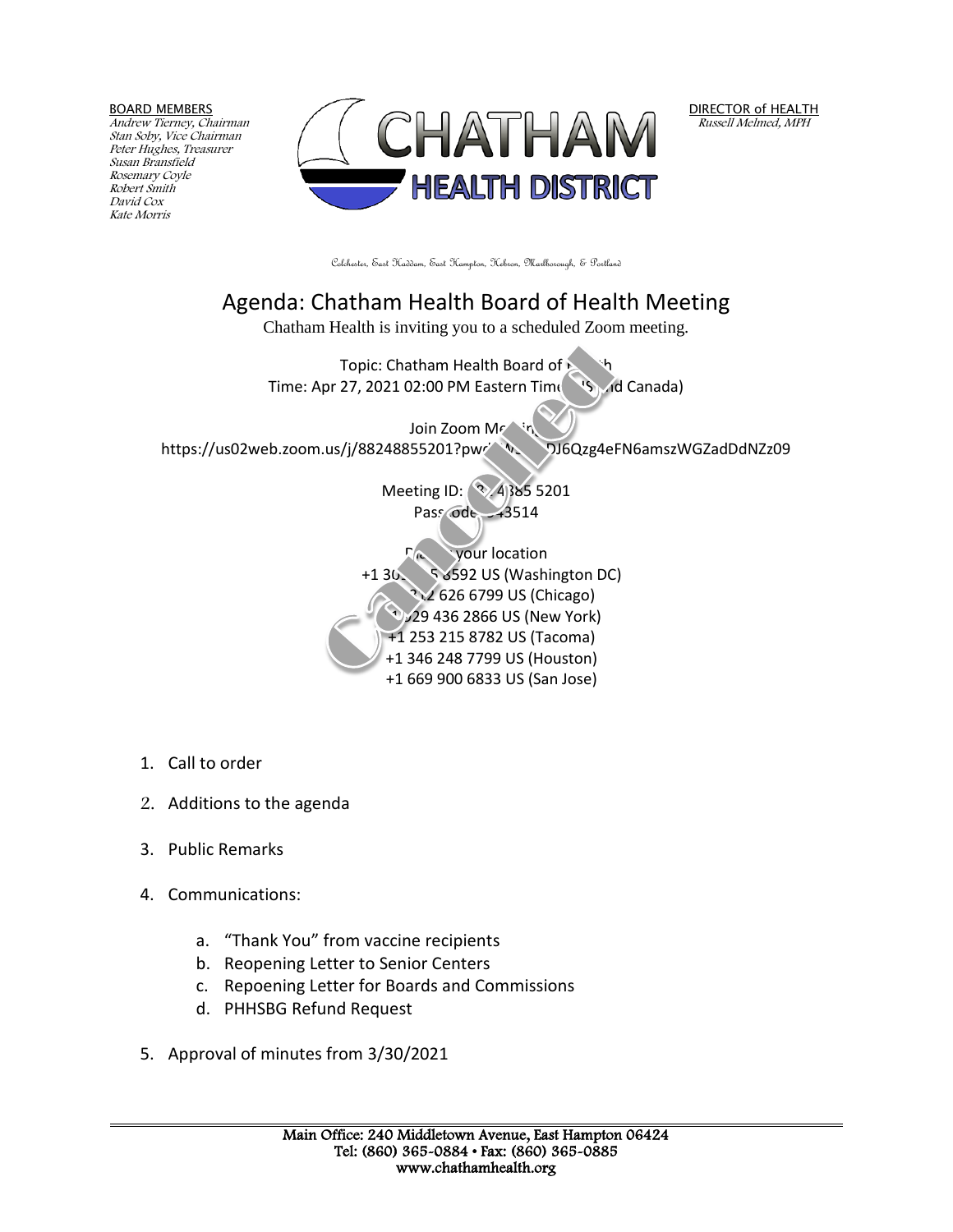BOARD MEMBERS

Andrew Tierney, Chairman Stan Soby, Vice Chairman Peter Hughes, Treasurer Susan Bransfield Rosemary Coyle Robert Smith David Cox Kate Morris



DIRECTOR of HEALTH Russell Melmed, MPH

Colchester, East Haddam, East Hampton, Hebron, Marlborough, & Portland

## Agenda: Chatham Health Board of Health Meeting Chatham Health is inviting you to a scheduled Zoom meeting. Topic: Chatham Health Board of Time: Apr 27, 2021 02:00 PM Eastern Time (US and Canada) Join Zoom Mr<sup>etin</sup> https://us02web.zoom.us/j/88248855201?pw/ WS83J6Qzg4eFN6amszWGZadDdNZz09 Meeting ID: 384 385 5201 Pass ode: 43514  $\Gamma$ <sup>a</sup> your location +1 301 715 8592 US (Washington DC) +1 312 626 6799 US (Chicago) +1 929 436 2866 US (New York) +1 253 215 8782 US (Tacoma)

 +1 346 248 7799 US (Houston) +1 669 900 6833 US (San Jose)

- 1. Call to order
- 2. Additions to the agenda
- 3. Public Remarks
- 4. Communications:
	- a. "Thank You" from vaccine recipients
	- b. Reopening Letter to Senior Centers
	- c. Repoening Letter for Boards and Commissions
	- d. PHHSBG Refund Request
- 5. Approval of minutes from 3/30/2021